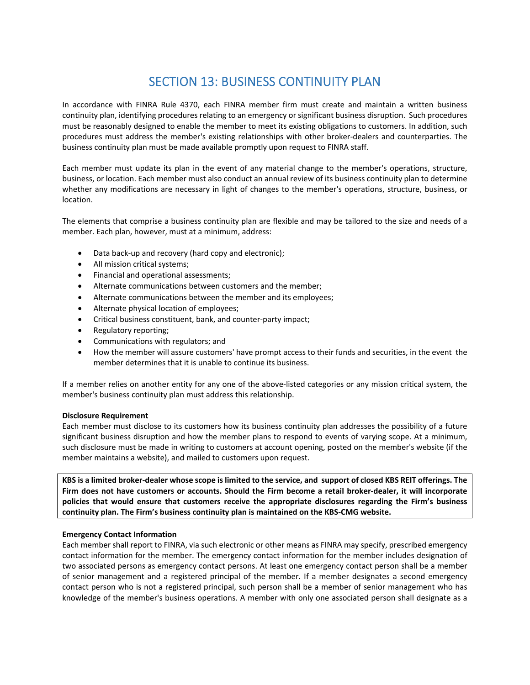# SECTION 13: BUSINESS CONTINUITY PLAN

In accordance with FINRA Rule 4370, each FINRA member firm must create and maintain a written business continuity plan, identifying procedures relating to an emergency or significant business disruption. Such procedures must be reasonably designed to enable the member to meet its existing obligations to customers. In addition, such procedures must address the member's existing relationships with other broker‐dealers and counterparties. The business continuity plan must be made available promptly upon request to FINRA staff.

Each member must update its plan in the event of any material change to the member's operations, structure, business, or location. Each member must also conduct an annual review of its business continuity plan to determine whether any modifications are necessary in light of changes to the member's operations, structure, business, or location.

The elements that comprise a business continuity plan are flexible and may be tailored to the size and needs of a member. Each plan, however, must at a minimum, address:

- Data back‐up and recovery (hard copy and electronic);
- All mission critical systems;
- **•** Financial and operational assessments;
- Alternate communications between customers and the member;
- Alternate communications between the member and its employees;
- Alternate physical location of employees;
- Critical business constituent, bank, and counter-party impact;
- Regulatory reporting;
- Communications with regulators; and
- How the member will assure customers' have prompt access to their funds and securities, in the event the member determines that it is unable to continue its business.

If a member relies on another entity for any one of the above-listed categories or any mission critical system, the member's business continuity plan must address this relationship.

## **Disclosure Requirement**

Each member must disclose to its customers how its business continuity plan addresses the possibility of a future significant business disruption and how the member plans to respond to events of varying scope. At a minimum, such disclosure must be made in writing to customers at account opening, posted on the member's website (if the member maintains a website), and mailed to customers upon request.

KBS is a limited broker-dealer whose scope is limited to the service, and support of closed KBS REIT offerings. The Firm does not have customers or accounts. Should the Firm become a retail broker-dealer, it will incorporate **policies that would ensure that customers receive the appropriate disclosures regarding the Firm's business continuity plan. The Firm's business continuity plan is maintained on the KBS‐CMG website.** 

## **Emergency Contact Information**

Each member shall report to FINRA, via such electronic or other means as FINRA may specify, prescribed emergency contact information for the member. The emergency contact information for the member includes designation of two associated persons as emergency contact persons. At least one emergency contact person shall be a member of senior management and a registered principal of the member. If a member designates a second emergency contact person who is not a registered principal, such person shall be a member of senior management who has knowledge of the member's business operations. A member with only one associated person shall designate as a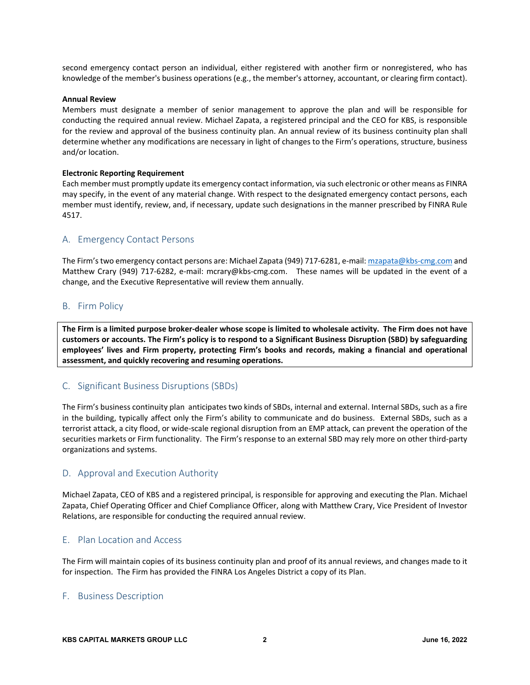second emergency contact person an individual, either registered with another firm or nonregistered, who has knowledge of the member's business operations (e.g., the member's attorney, accountant, or clearing firm contact).

## **Annual Review**

Members must designate a member of senior management to approve the plan and will be responsible for conducting the required annual review. Michael Zapata, a registered principal and the CEO for KBS, is responsible for the review and approval of the business continuity plan. An annual review of its business continuity plan shall determine whether any modifications are necessary in light of changes to the Firm's operations, structure, business and/or location.

#### **Electronic Reporting Requirement**

Each member must promptly update its emergency contact information, via such electronic or other means as FINRA may specify, in the event of any material change. With respect to the designated emergency contact persons, each member must identify, review, and, if necessary, update such designations in the manner prescribed by FINRA Rule 4517.

## A. Emergency Contact Persons

The Firm's two emergency contact persons are: Michael Zapata (949) 717-6281, e-mail: mzapata@kbs-cmg.com and Matthew Crary (949) 717-6282, e-mail: mcrary@kbs-cmg.com. These names will be updated in the event of a change, and the Executive Representative will review them annually.

## B. Firm Policy

The Firm is a limited purpose broker-dealer whose scope is limited to wholesale activity. The Firm does not have customers or accounts. The Firm's policy is to respond to a Significant Business Disruption (SBD) by safeguarding **employees' lives and Firm property, protecting Firm's books and records, making a financial and operational assessment, and quickly recovering and resuming operations.**

# C. Significant Business Disruptions (SBDs)

The Firm's business continuity plan anticipates two kinds of SBDs, internal and external. Internal SBDs, such as a fire in the building, typically affect only the Firm's ability to communicate and do business. External SBDs, such as a terrorist attack, a city flood, or wide‐scale regional disruption from an EMP attack, can prevent the operation of the securities markets or Firm functionality. The Firm's response to an external SBD may rely more on other third‐party organizations and systems.

# D. Approval and Execution Authority

Michael Zapata, CEO of KBS and a registered principal, is responsible for approving and executing the Plan. Michael Zapata, Chief Operating Officer and Chief Compliance Officer, along with Matthew Crary, Vice President of Investor Relations, are responsible for conducting the required annual review.

# E. Plan Location and Access

The Firm will maintain copies of its business continuity plan and proof of its annual reviews, and changes made to it for inspection. The Firm has provided the FINRA Los Angeles District a copy of its Plan.

## F. Business Description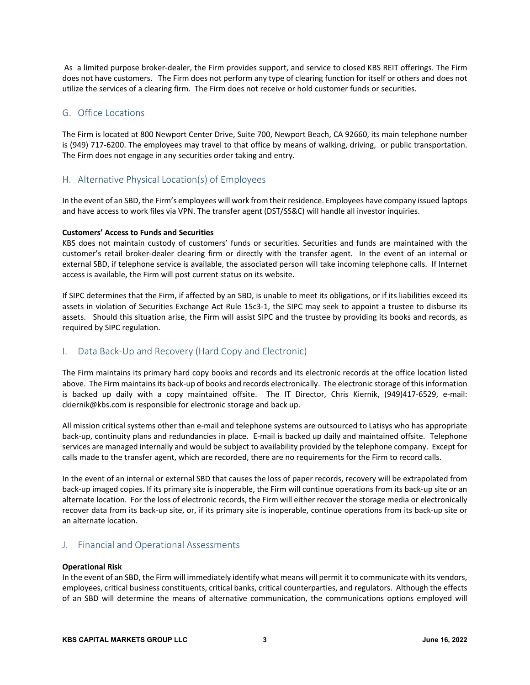As a limited purpose broker‐dealer, the Firm provides support, and service to closed KBS REIT offerings. The Firm does not have customers. The Firm does not perform any type of clearing function for itself or others and does not utilize the services of a clearing firm. The Firm does not receive or hold customer funds or securities.

# G. Office Locations

The Firm is located at 800 Newport Center Drive, Suite 700, Newport Beach, CA 92660, its main telephone number is (949) 717‐6200. The employees may travel to that office by means of walking, driving, or public transportation. The Firm does not engage in any securities order taking and entry.

## H. Alternative Physical Location(s) of Employees

In the event of an SBD, the Firm's employees will work from their residence. Employees have company issued laptops and have access to work files via VPN. The transfer agent (DST/SS&C) will handle all investor inquiries.

## **Customers' Access to Funds and Securities**

KBS does not maintain custody of customers' funds or securities. Securities and funds are maintained with the customer's retail broker‐dealer clearing firm or directly with the transfer agent. In the event of an internal or external SBD, if telephone service is available, the associated person will take incoming telephone calls. If Internet access is available, the Firm will post current status on its website.

If SIPC determines that the Firm, if affected by an SBD, is unable to meet its obligations, or if its liabilities exceed its assets in violation of Securities Exchange Act Rule 15c3-1, the SIPC may seek to appoint a trustee to disburse its assets. Should this situation arise, the Firm will assist SIPC and the trustee by providing its books and records, as required by SIPC regulation.

# I. Data Back‐Up and Recovery (Hard Copy and Electronic)

The Firm maintains its primary hard copy books and records and its electronic records at the office location listed above. The Firm maintains its back-up of books and records electronically. The electronic storage of this information is backed up daily with a copy maintained offsite. The IT Director, Chris Kiernik, (949)417-6529, e-mail: ckiernik@kbs.com is responsible for electronic storage and back up.

All mission critical systems other than e‐mail and telephone systems are outsourced to Latisys who has appropriate back‐up, continuity plans and redundancies in place. E‐mail is backed up daily and maintained offsite. Telephone services are managed internally and would be subject to availability provided by the telephone company. Except for calls made to the transfer agent, which are recorded, there are no requirements for the Firm to record calls.

In the event of an internal or external SBD that causes the loss of paper records, recovery will be extrapolated from back‐up imaged copies. If its primary site is inoperable, the Firm will continue operations from its back‐up site or an alternate location. For the loss of electronic records, the Firm will either recover the storage media or electronically recover data from its back‐up site, or, if its primary site is inoperable, continue operations from its back‐up site or an alternate location.

# J. Financial and Operational Assessments

#### **Operational Risk**

In the event of an SBD, the Firm will immediately identify what means will permit it to communicate with its vendors, employees, critical business constituents, critical banks, critical counterparties, and regulators. Although the effects of an SBD will determine the means of alternative communication, the communications options employed will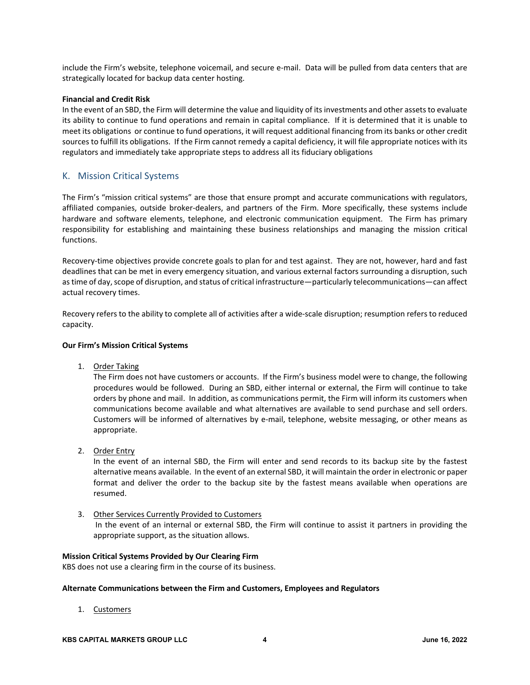include the Firm's website, telephone voicemail, and secure e‐mail. Data will be pulled from data centers that are strategically located for backup data center hosting.

#### **Financial and Credit Risk**

In the event of an SBD, the Firm will determine the value and liquidity of its investments and other assets to evaluate its ability to continue to fund operations and remain in capital compliance. If it is determined that it is unable to meet its obligations or continue to fund operations, it will request additional financing from its banks or other credit sources to fulfill its obligations. If the Firm cannot remedy a capital deficiency, it will file appropriate notices with its regulators and immediately take appropriate steps to address all its fiduciary obligations

## K. Mission Critical Systems

The Firm's "mission critical systems" are those that ensure prompt and accurate communications with regulators, affiliated companies, outside broker‐dealers, and partners of the Firm. More specifically, these systems include hardware and software elements, telephone, and electronic communication equipment. The Firm has primary responsibility for establishing and maintaining these business relationships and managing the mission critical functions.

Recovery-time objectives provide concrete goals to plan for and test against. They are not, however, hard and fast deadlines that can be met in every emergency situation, and various external factors surrounding a disruption, such as time of day, scope of disruption, and status of critical infrastructure—particularly telecommunications—can affect actual recovery times.

Recovery refers to the ability to complete all of activities after a wide‐scale disruption; resumption refers to reduced capacity.

## **Our Firm's Mission Critical Systems**

1. Order Taking

The Firm does not have customers or accounts. If the Firm's business model were to change, the following procedures would be followed. During an SBD, either internal or external, the Firm will continue to take orders by phone and mail. In addition, as communications permit, the Firm will inform its customers when communications become available and what alternatives are available to send purchase and sell orders. Customers will be informed of alternatives by e‐mail, telephone, website messaging, or other means as appropriate.

2. Order Entry

In the event of an internal SBD, the Firm will enter and send records to its backup site by the fastest alternative means available. In the event of an external SBD, it will maintain the order in electronic or paper format and deliver the order to the backup site by the fastest means available when operations are resumed.

3. Other Services Currently Provided to Customers In the event of an internal or external SBD, the Firm will continue to assist it partners in providing the appropriate support, as the situation allows.

#### **Mission Critical Systems Provided by Our Clearing Firm**

KBS does not use a clearing firm in the course of its business.

#### **Alternate Communications between the Firm and Customers, Employees and Regulators**

1. Customers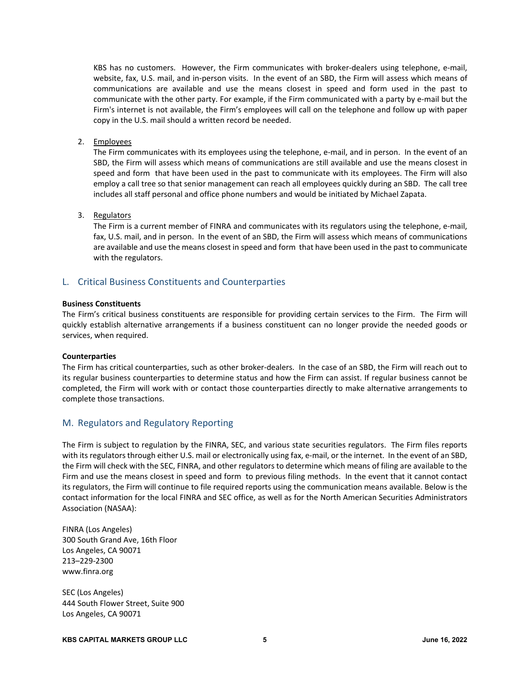KBS has no customers. However, the Firm communicates with broker-dealers using telephone, e-mail, website, fax, U.S. mail, and in‐person visits. In the event of an SBD, the Firm will assess which means of communications are available and use the means closest in speed and form used in the past to communicate with the other party. For example, if the Firm communicated with a party by e‐mail but the Firm's internet is not available, the Firm's employees will call on the telephone and follow up with paper copy in the U.S. mail should a written record be needed.

## 2. Employees

The Firm communicates with its employees using the telephone, e-mail, and in person. In the event of an SBD, the Firm will assess which means of communications are still available and use the means closest in speed and form that have been used in the past to communicate with its employees. The Firm will also employ a call tree so that senior management can reach all employees quickly during an SBD. The call tree includes all staff personal and office phone numbers and would be initiated by Michael Zapata.

## 3. Regulators

The Firm is a current member of FINRA and communicates with its regulators using the telephone, e-mail, fax, U.S. mail, and in person. In the event of an SBD, the Firm will assess which means of communications are available and use the means closest in speed and form that have been used in the past to communicate with the regulators.

## L. Critical Business Constituents and Counterparties

#### **Business Constituents**

The Firm's critical business constituents are responsible for providing certain services to the Firm. The Firm will quickly establish alternative arrangements if a business constituent can no longer provide the needed goods or services, when required.

#### **Counterparties**

The Firm has critical counterparties, such as other broker‐dealers. In the case of an SBD, the Firm will reach out to its regular business counterparties to determine status and how the Firm can assist. If regular business cannot be completed, the Firm will work with or contact those counterparties directly to make alternative arrangements to complete those transactions.

# M. Regulators and Regulatory Reporting

The Firm is subject to regulation by the FINRA, SEC, and various state securities regulators. The Firm files reports with its regulators through either U.S. mail or electronically using fax, e-mail, or the internet. In the event of an SBD, the Firm will check with the SEC, FINRA, and other regulators to determine which means of filing are available to the Firm and use the means closest in speed and form to previous filing methods. In the event that it cannot contact its regulators, the Firm will continue to file required reports using the communication means available. Below is the contact information for the local FINRA and SEC office, as well as for the North American Securities Administrators Association (NASAA):

FINRA (Los Angeles) 300 South Grand Ave, 16th Floor Los Angeles, CA 90071 213–229‐2300 www.finra.org

SEC (Los Angeles) 444 South Flower Street, Suite 900 Los Angeles, CA 90071